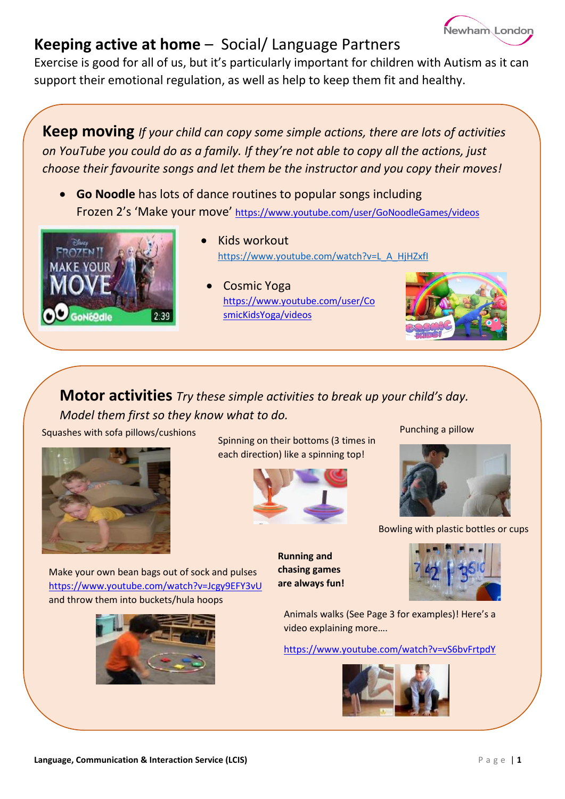# Newham London

## **Keeping active at home** – Social/ Language Partners

Exercise is good for all of us, but it's particularly important for children with Autism as it can support their emotional regulation, as well as help to keep them fit and healthy.

**Keep moving** *If your child can copy some simple actions, there are lots of activities on YouTube you could do as a family. If they're not able to copy all the actions, just choose their favourite songs and let them be the instructor and you copy their moves!*

 **Go Noodle** has lots of dance routines to popular songs including Frozen 2's 'Make your move' <https://www.youtube.com/user/GoNoodleGames/videos>



- Kids workout [https://www.youtube.com/watch?v=L\\_A\\_HjHZxfI](https://www.youtube.com/watch?v=L_A_HjHZxfI)
	- Cosmic Yoga [https://www.youtube.com/user/Co](https://www.youtube.com/user/CosmicKidsYoga/videos) [smicKidsYoga/videos](https://www.youtube.com/user/CosmicKidsYoga/videos)



### **Motor activities** *Try these simple activities to break up your child's day. Model them first so they know what to do.*

Squashes with sofa pillows/cushions



Spinning on their bottoms (3 times in each direction) like a spinning top!



Punching a pillow



Bowling with plastic bottles or cups

Make your own bean bags out of sock and pulses <https://www.youtube.com/watch?v=Jcgy9EFY3vU> and throw them into buckets/hula hoops



**Running and chasing games are always fun!**



Animals walks (See Page 3 for examples)! Here's a video explaining more….

<https://www.youtube.com/watch?v=vS6bvFrtpdY>



**Language, Communication & Interaction Service (LCIS) Page 11**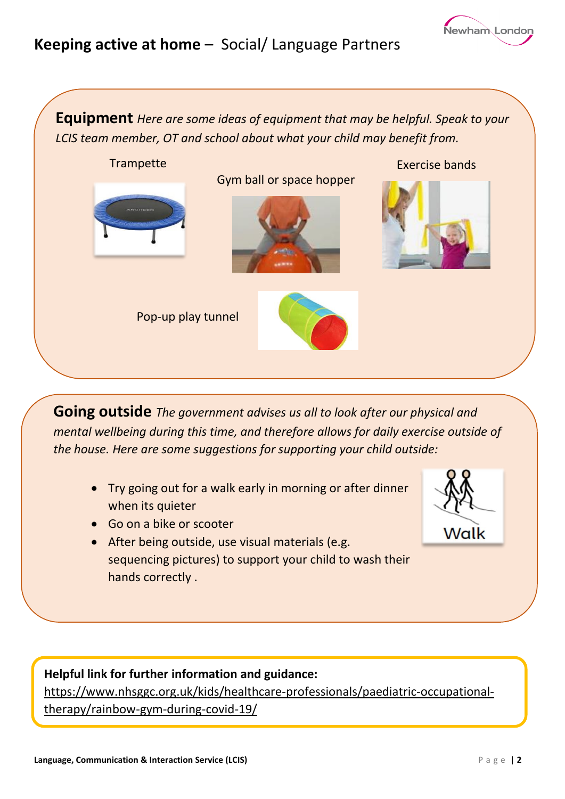## **Keeping active at home** – Social/ Language Partners

**Equipment** *Here are some ideas of equipment that may be helpful. Speak to your LCIS team member, OT and school about what your child may benefit from.*



**Going outside** *The government advises us all to look after our physical and mental wellbeing during this time, and therefore allows for daily exercise outside of the house. Here are some suggestions for supporting your child outside:* 

- Try going out for a walk early in morning or after dinner when its quieter
- Go on a bike or scooter
- After being outside, use visual materials (e.g. sequencing pictures) to support your child to wash their hands correctly .

**Helpful link for further information and guidance:** [https://www.nhsggc.org.uk/kids/healthcare-professionals/paediatric-occupational](https://www.nhsggc.org.uk/kids/healthcare-professionals/paediatric-occupational-therapy/rainbow-gym-during-covid-19/)[therapy/rainbow-gym-during-covid-19/](https://www.nhsggc.org.uk/kids/healthcare-professionals/paediatric-occupational-therapy/rainbow-gym-during-covid-19/)

Walk

Newham London